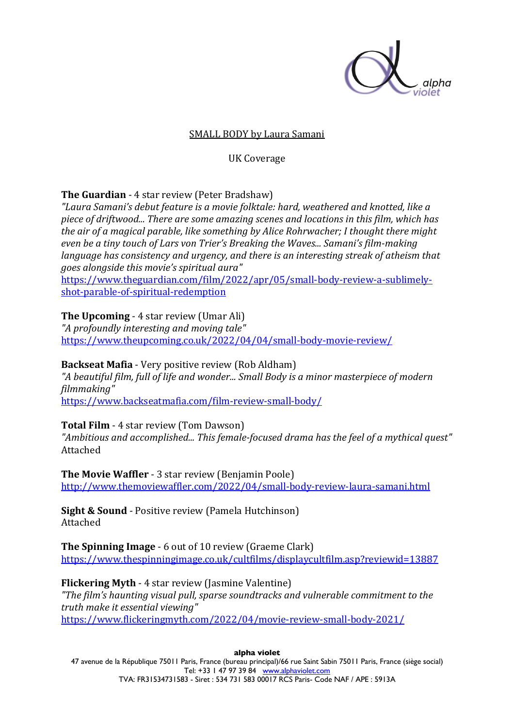

#### **SMALL BODY by Laura Samani**

UK Coverage

## **The Guardian** - 4 star review (Peter Bradshaw)

*"Laura Samani's debut feature is a movie folktale: hard, weathered and knotted, like a*  piece of driftwood... There are some amazing scenes and locations in this film, which has *the air of a magical parable, like something by Alice Rohrwacher; I thought there might even be a tiny touch of Lars von Trier's Breaking the Waves... Samani's film-making language has consistency and urgency, and there is an interesting streak of atheism that goes alongside this movie's spiritual aura"*

https://www.theguardian.com/film/2022/apr/05/small-body-review-a-sublimelyshot-parable-of-spiritual-redemption

# **The Upcoming** - 4 star review (Umar Ali)

*"A profoundly interesting and moving tale"* https://www.theupcoming.co.uk/2022/04/04/small-body-movie-review/

## **Backseat Mafia** - Very positive review (Rob Aldham)

"A beautiful film, full of life and wonder... Small Body is a minor masterpiece of modern *filmmaking"*

https://www.backseatmafia.com/film-review-small-body/

## **Total Film** - 4 star review (Tom Dawson)

"Ambitious and accomplished... This female-focused drama has the feel of a mythical quest" Attached

**The Movie Waffler** - 3 star review (Benjamin Poole) http://www.themoviewaffler.com/2022/04/small-body-review-laura-samani.html

**Sight & Sound** - Positive review (Pamela Hutchinson) Attached

**The Spinning Image** - 6 out of 10 review (Graeme Clark) https://www.thespinningimage.co.uk/cultfilms/displaycultfilm.asp?reviewid=13887

**Flickering Myth** - 4 star review (Jasmine Valentine) "The film's haunting visual pull, sparse soundtracks and vulnerable commitment to the *truth make it essential viewing"* https://www.flickeringmyth.com/2022/04/movie-review-small-body-2021/

**alpha violet**

47 avenue de la République 75011 Paris, France (bureau principal)/66 rue Saint Sabin 75011 Paris, France (siège social) Tel: +33 1 47 97 39 84 www.alphaviolet.com TVA: FR31534731583 - Siret : 534 731 583 00017 RCS Paris- Code NAF / APE : 5913A